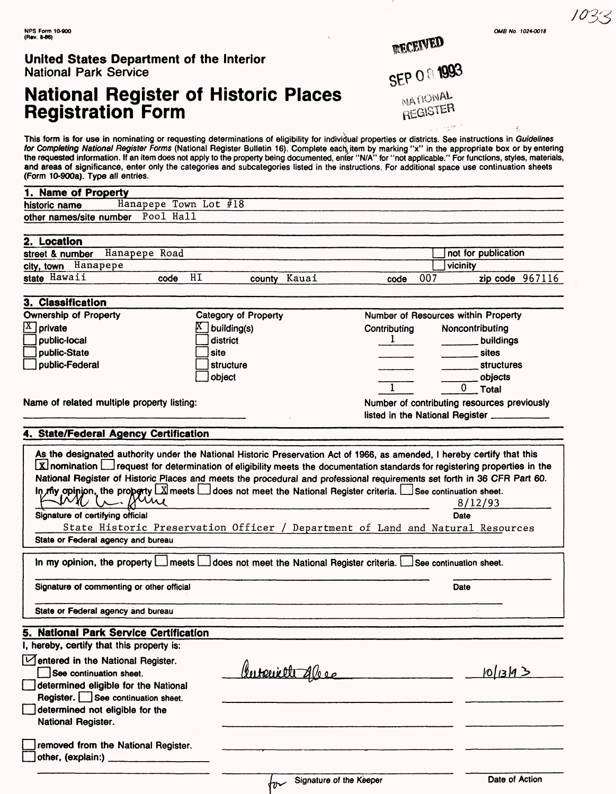|  | OMB No. 1024-0018 |
|--|-------------------|
|  |                   |

RECEIVED

**SEP O & 1993** 

NATIONAL REGISTER

#### **United States Department of the Interior**  National Park Service

# **National Register of Historic Places Registration Form**

This form is for use in nominating or requesting determinations of eligibility for individual properties or districts. See instructions in Guidelines for Completing National Register Forms (National Register Bulletin 16). Complete each item by marking "x" in the appropriate box or by entering the requested information. If an item does not apply to the property being documented, enter "N/A" for "not applicable." For functions, styles, materials, and areas of significance, enter only the categories and subcategories listed in the instructions. For additional space use continuation sheets (Form 10-900a). Type all entries. 10-9008). Type all entries.<br>**1. Name of Property ——** 

| 1. Name of Property               |                         |  |
|-----------------------------------|-------------------------|--|
| historic name                     | Hanapepe Town Lot $#18$ |  |
| other names/site number Pool Hall |                         |  |
|                                   |                         |  |

| 2. Location     |          |               |      |    |              |      |     |                     |
|-----------------|----------|---------------|------|----|--------------|------|-----|---------------------|
| street & number |          | Hanapepe Road |      |    |              |      |     | not for publication |
| city, town      | Hanapepe |               |      |    |              |      |     | vicinitv            |
| state Hawaii    |          |               | code | HI | county Kauai | code | 007 | zip code $967116$   |

| 3. Classification                                               |                                                       |                                 |                                                                   |
|-----------------------------------------------------------------|-------------------------------------------------------|---------------------------------|-------------------------------------------------------------------|
| <b>Ownership of Property</b>                                    | Category of Property                                  |                                 | Number of Resources within Property                               |
| $X$ private<br>  public-local<br>public-State<br>public-Federal | building(s)<br>district<br>l site<br><b>structure</b> | Contributing                    | Noncontributing<br><b>buildings</b><br>sites<br><b>structures</b> |
|                                                                 | object                                                |                                 | objects<br>Total                                                  |
| Name of related multiple property listing:                      |                                                       | listed in the National Register | Number of contributing resources previously                       |

### **4. State/Federal Agency Certification**

| As the designated authority under the National Historic Preservation Act of 1966, as amended, I hereby certify that this<br>Inferior Interpret for determination of eligibility meets the documentation standards for registering properties in the Lateral and and architecture in the<br>National Register of Historic Places and meets the procedural and professional requirements set forth in 36 CFR Part 60.<br>In riy opinion, the property $\Box$ meets $\Box$ does not meet the National Register criteria. $\Box$ See continuation sheet.<br>m Bring |                                                                                | 8/12/93              |
|-----------------------------------------------------------------------------------------------------------------------------------------------------------------------------------------------------------------------------------------------------------------------------------------------------------------------------------------------------------------------------------------------------------------------------------------------------------------------------------------------------------------------------------------------------------------|--------------------------------------------------------------------------------|----------------------|
| Signature of certifying official                                                                                                                                                                                                                                                                                                                                                                                                                                                                                                                                |                                                                                | Date                 |
|                                                                                                                                                                                                                                                                                                                                                                                                                                                                                                                                                                 | State Historic Preservation Officer / Department of Land and Natural Resources |                      |
| State or Federal agency and bureau                                                                                                                                                                                                                                                                                                                                                                                                                                                                                                                              |                                                                                |                      |
| In my opinion, the property Lumeets Lui does not meet the National Register criteria. Luisee continuation sheet.                                                                                                                                                                                                                                                                                                                                                                                                                                                |                                                                                |                      |
| Signature of commenting or other official                                                                                                                                                                                                                                                                                                                                                                                                                                                                                                                       |                                                                                | Date                 |
| State or Federal agency and bureau                                                                                                                                                                                                                                                                                                                                                                                                                                                                                                                              |                                                                                |                      |
| 5. National Park Service Certification                                                                                                                                                                                                                                                                                                                                                                                                                                                                                                                          |                                                                                |                      |
| I, hereby, certify that this property is:                                                                                                                                                                                                                                                                                                                                                                                                                                                                                                                       |                                                                                |                      |
| Gentered in the National Register.<br>See continuation sheet.<br>determined eligible for the National<br>Register. See continuation sheet.                                                                                                                                                                                                                                                                                                                                                                                                                      | Hortonielt Alego                                                               | 10/13/1 <sup>3</sup> |
| determined not eligible for the<br>National Register.                                                                                                                                                                                                                                                                                                                                                                                                                                                                                                           |                                                                                |                      |
| removed from the National Register.<br>other, (explain:)                                                                                                                                                                                                                                                                                                                                                                                                                                                                                                        |                                                                                |                      |
|                                                                                                                                                                                                                                                                                                                                                                                                                                                                                                                                                                 |                                                                                |                      |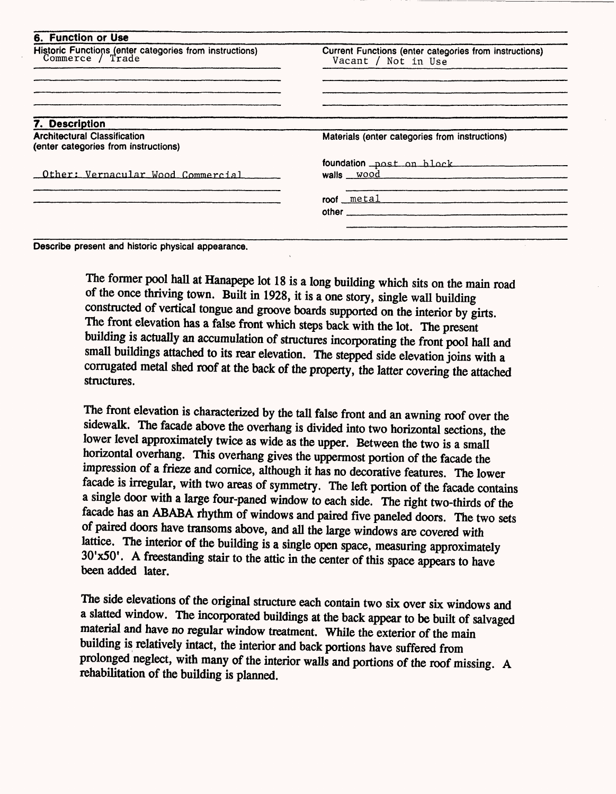| 6. Function or Use                                                          |                                                                               |
|-----------------------------------------------------------------------------|-------------------------------------------------------------------------------|
| Historic Functions (enter categories from instructions)<br>Commerce / Trade | Current Functions (enter categories from instructions)<br>Vacant / Not in Use |
|                                                                             |                                                                               |
| 7. Description                                                              |                                                                               |
| <b>Architectural Classification</b><br>(enter categories from instructions) | Materials (enter categories from instructions)                                |
|                                                                             | foundation post on block                                                      |
| Other: Vernacular Wood Commercial                                           |                                                                               |
|                                                                             | roof metal                                                                    |
|                                                                             |                                                                               |

Describe present and historic physical appearance.

The former pool hall at Hanapepe lot 18 is a long building which sits on the main road of the once thriving town. Built in 1928, it is a one story, single wall building constructed of vertical tongue and groove boards supported on the interior by girts. The front elevation has a false front which steps back with the lot. The present building is actually an accumulation of structures incorporating the front pool hall and small buildings attached to its rear elevation. The stepped side elevation joins with a corrugated metal shed roof at the back of the property, the latter covering the attached structures.

The front elevation is characterized by the tall false front and an awning roof over the sidewalk. The facade above the overhang is divided into two horizontal sections, the lower level approximately twice as wide as the upper. Between the two is a small horizontal overhang. This overhang gives the uppermost portion of the facade the impression of a frieze and cornice, although it has no decorative features. The lower facade is irregular, with two areas of symmetry. The left portion of the facade contains a single door with a large four-paned window to each side. The right two-thirds of the facade has an ABABA rhythm of windows and paired five paneled doors. The two sets of paired doors have transoms above, and all the large windows are covered with lattice. The interior of the building is a single open space, measuring approximately 30'x50'. A freestanding stair to the attic in the center of this space appears to have been added later.

The side elevations of the original structure each contain two six over six windows and a slatted window. The incorporated buildings at the back appear to be built of salvaged material and have no regular window treatment. While the exterior of the main building is relatively intact, the interior and back portions have suffered from prolonged neglect, with many of the interior walls and portions of the roof missing. A rehabilitation of the building is planned.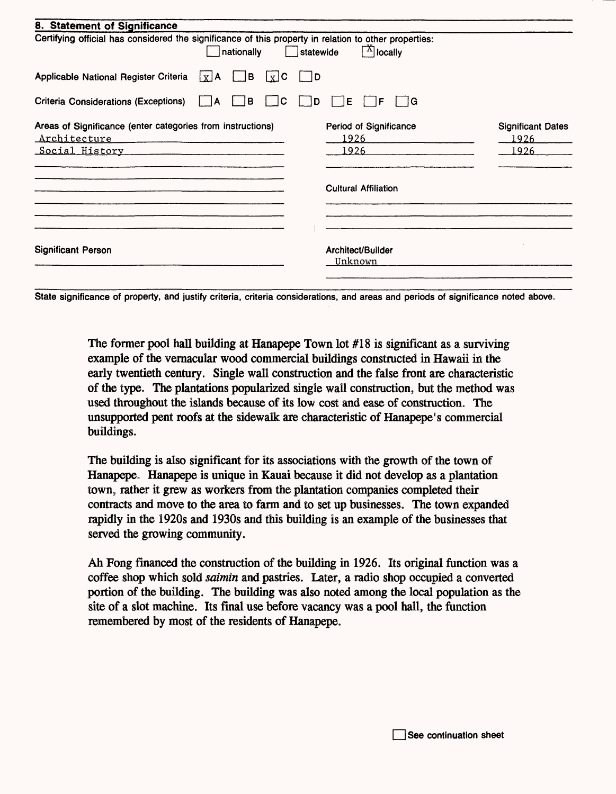| 8. Statement of Significance                                                                                        |                                                 |                                          |
|---------------------------------------------------------------------------------------------------------------------|-------------------------------------------------|------------------------------------------|
| Certifying official has considered the significance of this property in relation to other properties:<br>nationally | $\mathbb{E}^{\mathbf{X}}$ locally<br>Statewide  |                                          |
| Applicable National Register Criteria $\lfloor x \rfloor$ A<br>l B                                                  | $\vert x \vert$ C<br>$\vert$ $\vert$ D          |                                          |
| Criteria Considerations (Exceptions)<br>в<br>ΙA                                                                     | ΙE<br>1G<br>С<br>D<br>F                         |                                          |
| Areas of Significance (enter categories from instructions)<br>Architecture<br><u>Social History</u>                 | Period of Significance<br><u> 1926 </u><br>1926 | <b>Significant Dates</b><br>1926<br>1926 |
|                                                                                                                     | <b>Cultural Affiliation</b>                     |                                          |
| <b>Significant Person</b>                                                                                           | Architect/Builder<br>Unknown                    |                                          |
|                                                                                                                     |                                                 |                                          |

State significance of property, and justify criteria, criteria considerations, and areas and periods of significance noted above.

The former pool hall building at Hanapepe Town lot #18 is significant as a surviving example of the vernacular wood commercial buildings constructed in Hawaii in the early twentieth century. Single wall construction and the false front are characteristic of the type. The plantations popularized single wall construction, but the method was used throughout the islands because of its low cost and ease of construction. The unsupported pent roofs at the sidewalk are characteristic of Hanapepe's commercial buildings.

The building is also significant for its associations with the growth of the town of Hanapepe. Hanapepe is unique in Kauai because it did not develop as a plantation town, rather it grew as workers from the plantation companies completed their contracts and move to the area to farm and to set up businesses. The town expanded rapidly in the 1920s and 1930s and this building is an example of the businesses that served the growing community.

Ah Fong financed the construction of the building in 1926, Its original function was a coffee shop which sold *saimin* and pastries. Later, a radio shop occupied a converted portion of the building. The building was also noted among the local population as the site of a slot machine. Its final use before vacancy was a pool hall, the function remembered by most of the residents of Hanapepe.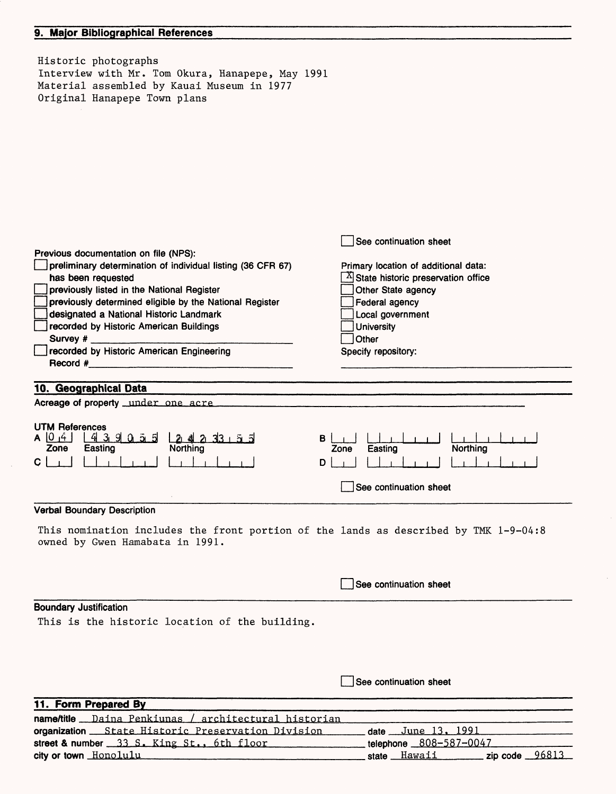### **9. Major** Bibliographical References

 $\epsilon$ 

| Historic photographs<br>Interview with Mr. Tom Okura, Hanapepe, May 1991<br>Material assembled by Kauai Museum in 1977<br>Original Hanapepe Town plans                                                                                                                                      |                                                                                                                                                     |
|---------------------------------------------------------------------------------------------------------------------------------------------------------------------------------------------------------------------------------------------------------------------------------------------|-----------------------------------------------------------------------------------------------------------------------------------------------------|
| Previous documentation on file (NPS):<br>preliminary determination of individual listing (36 CFR 67)                                                                                                                                                                                        | See continuation sheet<br>Primary location of additional data:                                                                                      |
| has been requested<br>previously listed in the National Register<br>previously determined eligible by the National Register<br>designated a National Historic Landmark<br>recorded by Historic American Buildings<br>Survey $#_$<br>recorded by Historic American Engineering<br>Record $#$ | State historic preservation office<br>Other State agency<br>Federal agency<br>Local government<br><b>University</b><br>Other<br>Specify repository: |
|                                                                                                                                                                                                                                                                                             |                                                                                                                                                     |
| 10. Geographical Data<br>Acreage of property under one acre                                                                                                                                                                                                                                 |                                                                                                                                                     |
| <b>UTM References</b><br>A 0 4<br>43905<br>2 4 2 3 3 5 5<br>Zone<br>Easting<br>Northing<br>c                                                                                                                                                                                                | в<br>Northing<br>Zone<br>Easting<br>D<br>See continuation sheet                                                                                     |
| <b>Verbal Boundary Description</b>                                                                                                                                                                                                                                                          |                                                                                                                                                     |
| This nomination includes the front portion of the lands as described by TMK 1-9-04:8<br>owned by Gwen Hamabata in 1991.                                                                                                                                                                     |                                                                                                                                                     |
|                                                                                                                                                                                                                                                                                             | See continuation sheet                                                                                                                              |
| <b>Boundary Justification</b><br>This is the historic location of the building.                                                                                                                                                                                                             |                                                                                                                                                     |
|                                                                                                                                                                                                                                                                                             | See continuation sheet                                                                                                                              |
| 11. Form Prepared By                                                                                                                                                                                                                                                                        |                                                                                                                                                     |
| name/title Daina Penkiunas / architectural historian<br>organization State Historic Preservation Division                                                                                                                                                                                   | June 13, 1991.<br>date                                                                                                                              |

| <b>namentue</b> __Daina Penklunas / architectural historian |                      |  |
|-------------------------------------------------------------|----------------------|--|
| organization __ State Historic Preservation Division        | date June $13, 1991$ |  |
| street & number 33 S. King St., 6th floor                   |                      |  |
| city or town Honolulu                                       | state Hawaii         |  |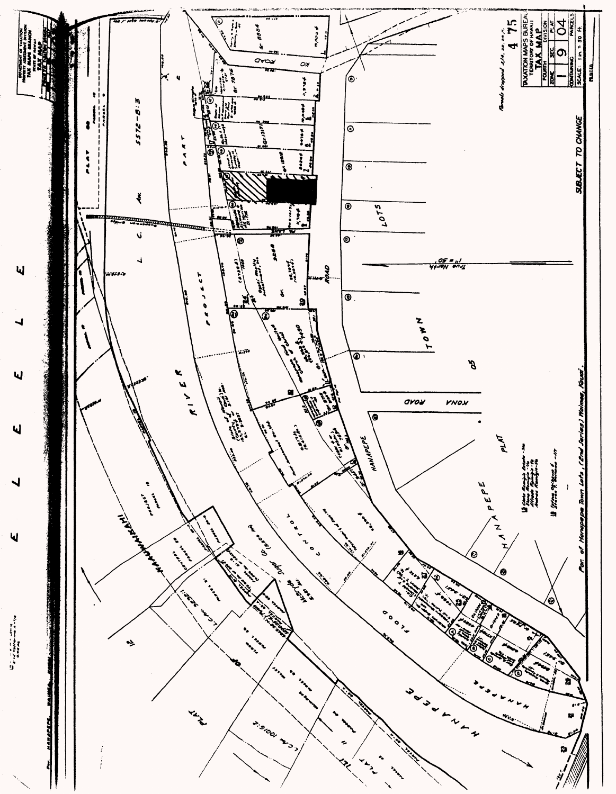